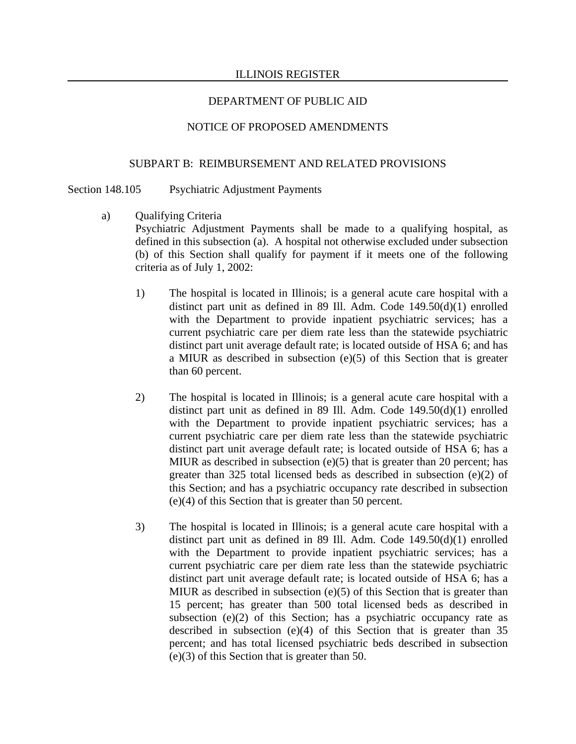#### NOTICE OF PROPOSED AMENDMENTS

#### SUBPART B: REIMBURSEMENT AND RELATED PROVISIONS

Section 148.105 Psychiatric Adjustment Payments

- a) Qualifying Criteria Psychiatric Adjustment Payments shall be made to a qualifying hospital, as defined in this subsection (a). A hospital not otherwise excluded under subsection (b) of this Section shall qualify for payment if it meets one of the following criteria as of July 1, 2002:
	- 1) The hospital is located in Illinois; is a general acute care hospital with a distinct part unit as defined in 89 Ill. Adm. Code 149.50(d)(1) enrolled with the Department to provide inpatient psychiatric services; has a current psychiatric care per diem rate less than the statewide psychiatric distinct part unit average default rate; is located outside of HSA 6; and has a MIUR as described in subsection (e)(5) of this Section that is greater than 60 percent.
	- 2) The hospital is located in Illinois; is a general acute care hospital with a distinct part unit as defined in 89 Ill. Adm. Code 149.50(d)(1) enrolled with the Department to provide inpatient psychiatric services; has a current psychiatric care per diem rate less than the statewide psychiatric distinct part unit average default rate; is located outside of HSA 6; has a MIUR as described in subsection (e)(5) that is greater than 20 percent; has greater than 325 total licensed beds as described in subsection (e)(2) of this Section; and has a psychiatric occupancy rate described in subsection (e)(4) of this Section that is greater than 50 percent.
	- 3) The hospital is located in Illinois; is a general acute care hospital with a distinct part unit as defined in 89 Ill. Adm. Code 149.50(d)(1) enrolled with the Department to provide inpatient psychiatric services; has a current psychiatric care per diem rate less than the statewide psychiatric distinct part unit average default rate; is located outside of HSA 6; has a MIUR as described in subsection (e)(5) of this Section that is greater than 15 percent; has greater than 500 total licensed beds as described in subsection  $(e)(2)$  of this Section; has a psychiatric occupancy rate as described in subsection (e)(4) of this Section that is greater than 35 percent; and has total licensed psychiatric beds described in subsection (e)(3) of this Section that is greater than 50.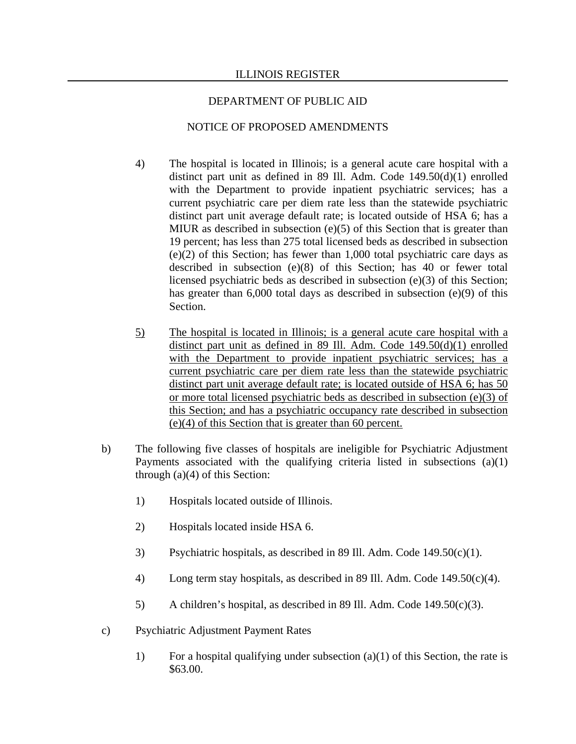#### ILLINOIS REGISTER

#### DEPARTMENT OF PUBLIC AID

- 4) The hospital is located in Illinois; is a general acute care hospital with a distinct part unit as defined in 89 Ill. Adm. Code 149.50(d)(1) enrolled with the Department to provide inpatient psychiatric services; has a current psychiatric care per diem rate less than the statewide psychiatric distinct part unit average default rate; is located outside of HSA 6; has a MIUR as described in subsection (e)(5) of this Section that is greater than 19 percent; has less than 275 total licensed beds as described in subsection (e)(2) of this Section; has fewer than 1,000 total psychiatric care days as described in subsection (e)(8) of this Section; has 40 or fewer total licensed psychiatric beds as described in subsection (e)(3) of this Section; has greater than 6,000 total days as described in subsection (e)(9) of this Section.
- 5) The hospital is located in Illinois; is a general acute care hospital with a distinct part unit as defined in 89 Ill. Adm. Code 149.50(d)(1) enrolled with the Department to provide inpatient psychiatric services; has a current psychiatric care per diem rate less than the statewide psychiatric distinct part unit average default rate; is located outside of HSA 6; has 50 or more total licensed psychiatric beds as described in subsection (e)(3) of this Section; and has a psychiatric occupancy rate described in subsection (e)(4) of this Section that is greater than 60 percent.
- b) The following five classes of hospitals are ineligible for Psychiatric Adjustment Payments associated with the qualifying criteria listed in subsections (a)(1) through (a)(4) of this Section:
	- 1) Hospitals located outside of Illinois.
	- 2) Hospitals located inside HSA 6.
	- 3) Psychiatric hospitals, as described in 89 Ill. Adm. Code 149.50(c)(1).
	- 4) Long term stay hospitals, as described in 89 Ill. Adm. Code 149.50(c)(4).
	- 5) A children's hospital, as described in 89 Ill. Adm. Code 149.50(c)(3).
- c) Psychiatric Adjustment Payment Rates
	- 1) For a hospital qualifying under subsection (a)(1) of this Section, the rate is \$63.00.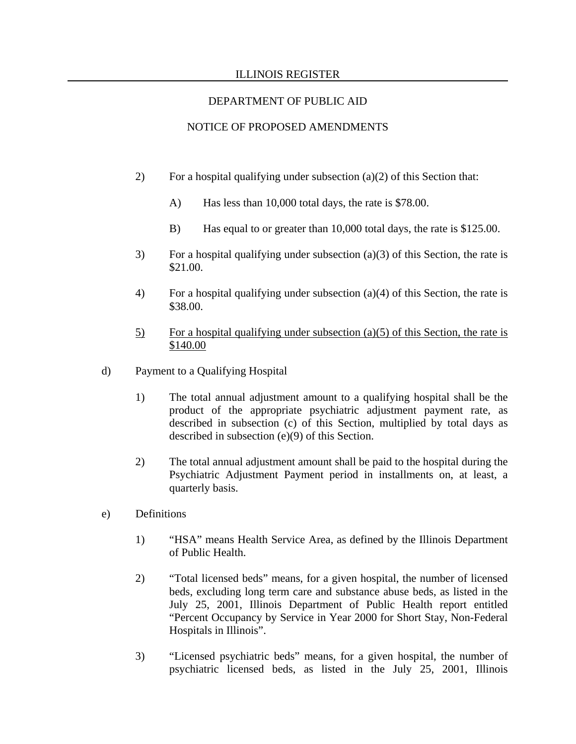#### ILLINOIS REGISTER

# DEPARTMENT OF PUBLIC AID

- 2) For a hospital qualifying under subsection  $(a)(2)$  of this Section that:
	- A) Has less than 10,000 total days, the rate is \$78.00.
	- B) Has equal to or greater than 10,000 total days, the rate is \$125.00.
- 3) For a hospital qualifying under subsection (a)(3) of this Section, the rate is \$21.00.
- 4) For a hospital qualifying under subsection (a)(4) of this Section, the rate is \$38.00.
- $5)$  For a hospital qualifying under subsection (a)(5) of this Section, the rate is \$140.00
- d) Payment to a Qualifying Hospital
	- 1) The total annual adjustment amount to a qualifying hospital shall be the product of the appropriate psychiatric adjustment payment rate, as described in subsection (c) of this Section, multiplied by total days as described in subsection (e)(9) of this Section.
	- 2) The total annual adjustment amount shall be paid to the hospital during the Psychiatric Adjustment Payment period in installments on, at least, a quarterly basis.
- e) Definitions
	- 1) "HSA" means Health Service Area, as defined by the Illinois Department of Public Health.
	- 2) "Total licensed beds" means, for a given hospital, the number of licensed beds, excluding long term care and substance abuse beds, as listed in the July 25, 2001, Illinois Department of Public Health report entitled "Percent Occupancy by Service in Year 2000 for Short Stay, Non-Federal Hospitals in Illinois".
	- 3) "Licensed psychiatric beds" means, for a given hospital, the number of psychiatric licensed beds, as listed in the July 25, 2001, Illinois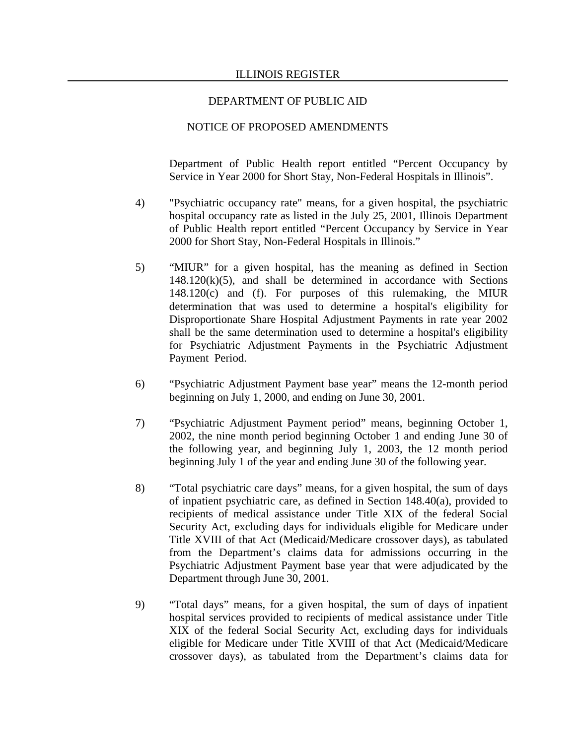#### NOTICE OF PROPOSED AMENDMENTS

Department of Public Health report entitled "Percent Occupancy by Service in Year 2000 for Short Stay, Non-Federal Hospitals in Illinois".

- 4) "Psychiatric occupancy rate" means, for a given hospital, the psychiatric hospital occupancy rate as listed in the July 25, 2001, Illinois Department of Public Health report entitled "Percent Occupancy by Service in Year 2000 for Short Stay, Non-Federal Hospitals in Illinois."
- 5) "MIUR" for a given hospital, has the meaning as defined in Section  $148.120(k)(5)$ , and shall be determined in accordance with Sections 148.120(c) and (f). For purposes of this rulemaking, the MIUR determination that was used to determine a hospital's eligibility for Disproportionate Share Hospital Adjustment Payments in rate year 2002 shall be the same determination used to determine a hospital's eligibility for Psychiatric Adjustment Payments in the Psychiatric Adjustment Payment Period.
- 6) "Psychiatric Adjustment Payment base year" means the 12-month period beginning on July 1, 2000, and ending on June 30, 2001.
- 7) "Psychiatric Adjustment Payment period" means, beginning October 1, 2002, the nine month period beginning October 1 and ending June 30 of the following year, and beginning July 1, 2003, the 12 month period beginning July 1 of the year and ending June 30 of the following year.
- 8) "Total psychiatric care days" means, for a given hospital, the sum of days of inpatient psychiatric care, as defined in Section 148.40(a), provided to recipients of medical assistance under Title XIX of the federal Social Security Act, excluding days for individuals eligible for Medicare under Title XVIII of that Act (Medicaid/Medicare crossover days), as tabulated from the Department's claims data for admissions occurring in the Psychiatric Adjustment Payment base year that were adjudicated by the Department through June 30, 2001.
- 9) "Total days" means, for a given hospital, the sum of days of inpatient hospital services provided to recipients of medical assistance under Title XIX of the federal Social Security Act, excluding days for individuals eligible for Medicare under Title XVIII of that Act (Medicaid/Medicare crossover days), as tabulated from the Department's claims data for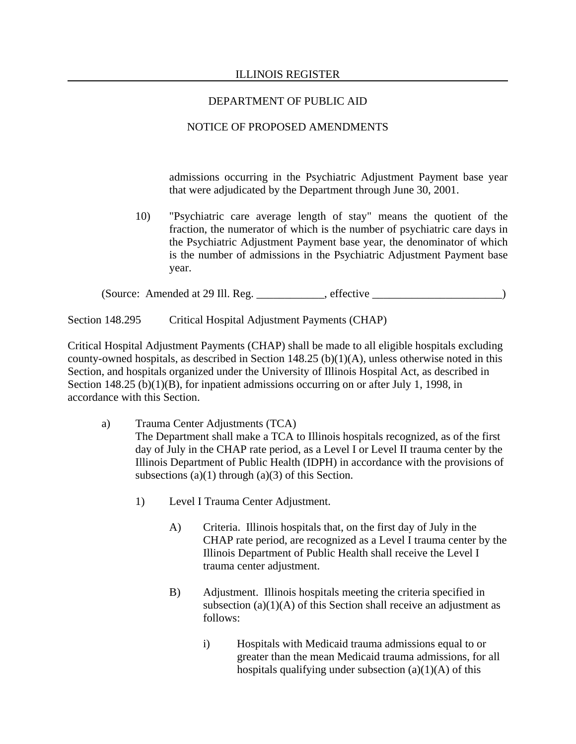# NOTICE OF PROPOSED AMENDMENTS

admissions occurring in the Psychiatric Adjustment Payment base year that were adjudicated by the Department through June 30, 2001.

10) "Psychiatric care average length of stay" means the quotient of the fraction, the numerator of which is the number of psychiatric care days in the Psychiatric Adjustment Payment base year, the denominator of which is the number of admissions in the Psychiatric Adjustment Payment base year.

(Source: Amended at 29 Ill. Reg. \_\_\_\_\_\_\_\_\_\_\_\_, effective \_\_\_\_\_\_\_\_\_\_\_\_\_\_\_\_\_\_\_\_\_\_\_)

Section 148.295 Critical Hospital Adjustment Payments (CHAP)

Critical Hospital Adjustment Payments (CHAP) shall be made to all eligible hospitals excluding county-owned hospitals, as described in Section 148.25 (b)(1)(A), unless otherwise noted in this Section, and hospitals organized under the University of Illinois Hospital Act, as described in Section 148.25 (b)(1)(B), for inpatient admissions occurring on or after July 1, 1998, in accordance with this Section.

- a) Trauma Center Adjustments (TCA) The Department shall make a TCA to Illinois hospitals recognized, as of the first day of July in the CHAP rate period, as a Level I or Level II trauma center by the Illinois Department of Public Health (IDPH) in accordance with the provisions of subsections  $(a)(1)$  through  $(a)(3)$  of this Section.
	- 1) Level I Trauma Center Adjustment.
		- A) Criteria. Illinois hospitals that, on the first day of July in the CHAP rate period, are recognized as a Level I trauma center by the Illinois Department of Public Health shall receive the Level I trauma center adjustment.
		- B) Adjustment. Illinois hospitals meeting the criteria specified in subsection  $(a)(1)(A)$  of this Section shall receive an adjustment as follows:
			- i) Hospitals with Medicaid trauma admissions equal to or greater than the mean Medicaid trauma admissions, for all hospitals qualifying under subsection  $(a)(1)(A)$  of this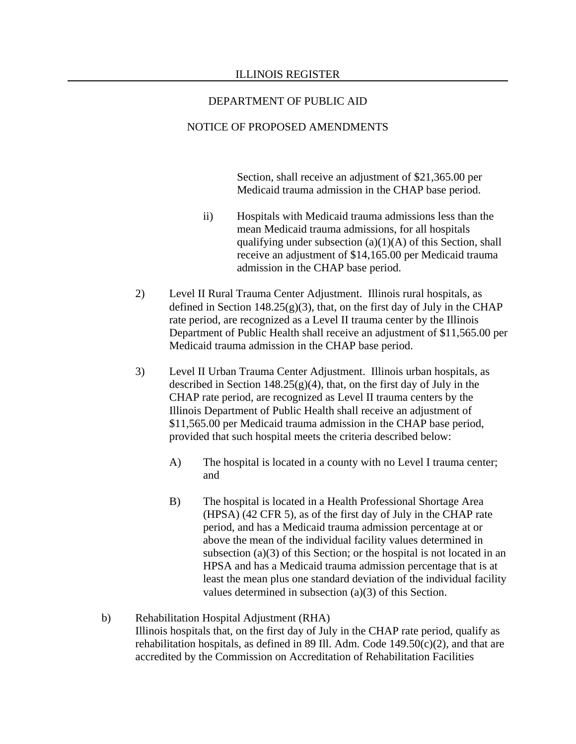### NOTICE OF PROPOSED AMENDMENTS

Section, shall receive an adjustment of \$21,365.00 per Medicaid trauma admission in the CHAP base period.

- ii) Hospitals with Medicaid trauma admissions less than the mean Medicaid trauma admissions, for all hospitals qualifying under subsection  $(a)(1)(A)$  of this Section, shall receive an adjustment of \$14,165.00 per Medicaid trauma admission in the CHAP base period.
- 2) Level II Rural Trauma Center Adjustment. Illinois rural hospitals, as defined in Section 148.25(g)(3), that, on the first day of July in the CHAP rate period, are recognized as a Level II trauma center by the Illinois Department of Public Health shall receive an adjustment of \$11,565.00 per Medicaid trauma admission in the CHAP base period.
- 3) Level II Urban Trauma Center Adjustment. Illinois urban hospitals, as described in Section  $148.25(g)(4)$ , that, on the first day of July in the CHAP rate period, are recognized as Level II trauma centers by the Illinois Department of Public Health shall receive an adjustment of \$11,565.00 per Medicaid trauma admission in the CHAP base period, provided that such hospital meets the criteria described below:
	- A) The hospital is located in a county with no Level I trauma center; and
	- B) The hospital is located in a Health Professional Shortage Area (HPSA) (42 CFR 5), as of the first day of July in the CHAP rate period, and has a Medicaid trauma admission percentage at or above the mean of the individual facility values determined in subsection (a)(3) of this Section; or the hospital is not located in an HPSA and has a Medicaid trauma admission percentage that is at least the mean plus one standard deviation of the individual facility values determined in subsection (a)(3) of this Section.
- b) Rehabilitation Hospital Adjustment (RHA) Illinois hospitals that, on the first day of July in the CHAP rate period, qualify as rehabilitation hospitals, as defined in 89 Ill. Adm. Code  $149.50(c)(2)$ , and that are accredited by the Commission on Accreditation of Rehabilitation Facilities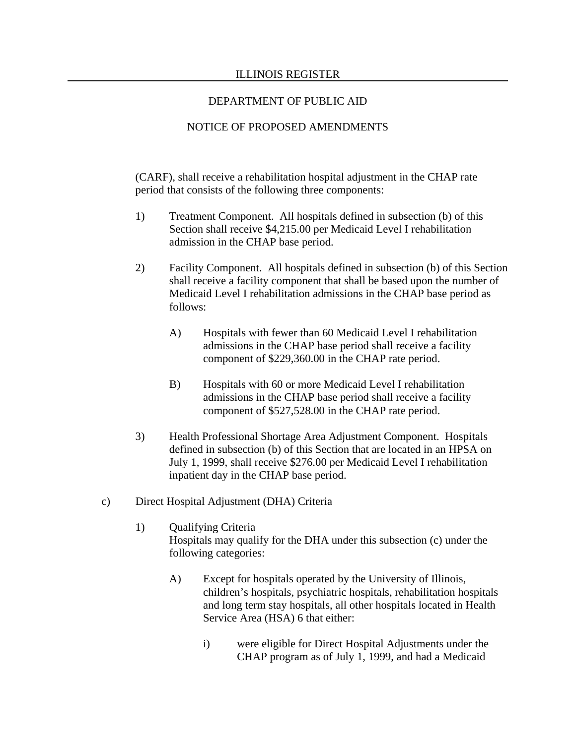# NOTICE OF PROPOSED AMENDMENTS

(CARF), shall receive a rehabilitation hospital adjustment in the CHAP rate period that consists of the following three components:

- 1) Treatment Component. All hospitals defined in subsection (b) of this Section shall receive \$4,215.00 per Medicaid Level I rehabilitation admission in the CHAP base period.
- 2) Facility Component. All hospitals defined in subsection (b) of this Section shall receive a facility component that shall be based upon the number of Medicaid Level I rehabilitation admissions in the CHAP base period as follows:
	- A) Hospitals with fewer than 60 Medicaid Level I rehabilitation admissions in the CHAP base period shall receive a facility component of \$229,360.00 in the CHAP rate period.
	- B) Hospitals with 60 or more Medicaid Level I rehabilitation admissions in the CHAP base period shall receive a facility component of \$527,528.00 in the CHAP rate period.
- 3) Health Professional Shortage Area Adjustment Component. Hospitals defined in subsection (b) of this Section that are located in an HPSA on July 1, 1999, shall receive \$276.00 per Medicaid Level I rehabilitation inpatient day in the CHAP base period.
- c) Direct Hospital Adjustment (DHA) Criteria
	- 1) Qualifying Criteria Hospitals may qualify for the DHA under this subsection (c) under the following categories:
		- A) Except for hospitals operated by the University of Illinois, children's hospitals, psychiatric hospitals, rehabilitation hospitals and long term stay hospitals, all other hospitals located in Health Service Area (HSA) 6 that either:
			- i) were eligible for Direct Hospital Adjustments under the CHAP program as of July 1, 1999, and had a Medicaid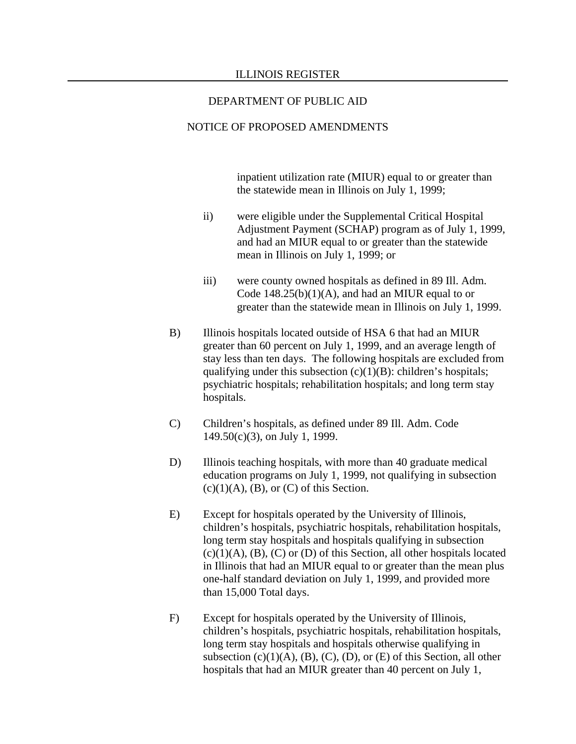#### NOTICE OF PROPOSED AMENDMENTS

inpatient utilization rate (MIUR) equal to or greater than the statewide mean in Illinois on July 1, 1999;

- ii) were eligible under the Supplemental Critical Hospital Adjustment Payment (SCHAP) program as of July 1, 1999, and had an MIUR equal to or greater than the statewide mean in Illinois on July 1, 1999; or
- iii) were county owned hospitals as defined in 89 Ill. Adm. Code  $148.25(b)(1)(A)$ , and had an MIUR equal to or greater than the statewide mean in Illinois on July 1, 1999.
- B) Illinois hospitals located outside of HSA 6 that had an MIUR greater than 60 percent on July 1, 1999, and an average length of stay less than ten days. The following hospitals are excluded from qualifying under this subsection  $(c)(1)(B)$ : children's hospitals; psychiatric hospitals; rehabilitation hospitals; and long term stay hospitals.
- C) Children's hospitals, as defined under 89 Ill. Adm. Code 149.50(c)(3), on July 1, 1999.
- D) Illinois teaching hospitals, with more than 40 graduate medical education programs on July 1, 1999, not qualifying in subsection  $(c)(1)(A)$ ,  $(B)$ , or  $(C)$  of this Section.
- E) Except for hospitals operated by the University of Illinois, children's hospitals, psychiatric hospitals, rehabilitation hospitals, long term stay hospitals and hospitals qualifying in subsection  $(c)(1)(A)$ ,  $(B)$ ,  $(C)$  or  $(D)$  of this Section, all other hospitals located in Illinois that had an MIUR equal to or greater than the mean plus one-half standard deviation on July 1, 1999, and provided more than 15,000 Total days.
- F) Except for hospitals operated by the University of Illinois, children's hospitals, psychiatric hospitals, rehabilitation hospitals, long term stay hospitals and hospitals otherwise qualifying in subsection  $(c)(1)(A)$ ,  $(B)$ ,  $(C)$ ,  $(D)$ , or  $(E)$  of this Section, all other hospitals that had an MIUR greater than 40 percent on July 1,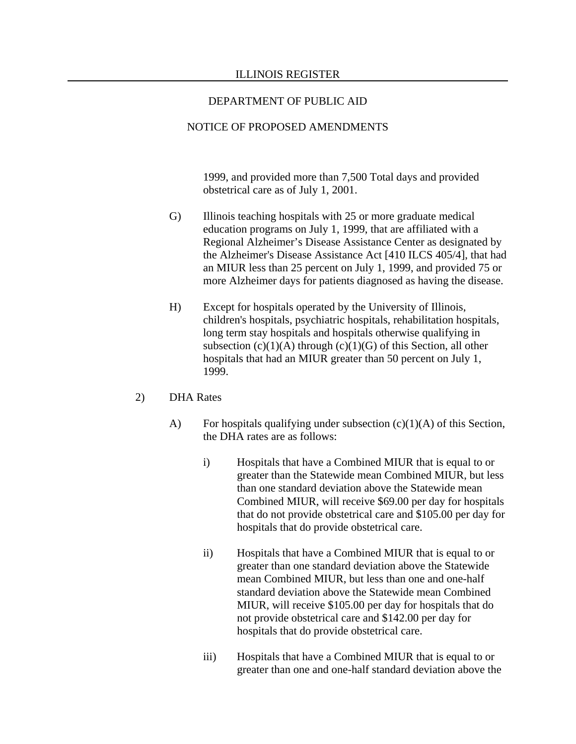### NOTICE OF PROPOSED AMENDMENTS

1999, and provided more than 7,500 Total days and provided obstetrical care as of July 1, 2001.

- G) Illinois teaching hospitals with 25 or more graduate medical education programs on July 1, 1999, that are affiliated with a Regional Alzheimer's Disease Assistance Center as designated by the Alzheimer's Disease Assistance Act [410 ILCS 405/4], that had an MIUR less than 25 percent on July 1, 1999, and provided 75 or more Alzheimer days for patients diagnosed as having the disease.
- H) Except for hospitals operated by the University of Illinois, children's hospitals, psychiatric hospitals, rehabilitation hospitals, long term stay hospitals and hospitals otherwise qualifying in subsection  $(c)(1)(A)$  through  $(c)(1)(G)$  of this Section, all other hospitals that had an MIUR greater than 50 percent on July 1, 1999.

### 2) DHA Rates

- A) For hospitals qualifying under subsection  $(c)(1)(A)$  of this Section, the DHA rates are as follows:
	- i) Hospitals that have a Combined MIUR that is equal to or greater than the Statewide mean Combined MIUR, but less than one standard deviation above the Statewide mean Combined MIUR, will receive \$69.00 per day for hospitals that do not provide obstetrical care and \$105.00 per day for hospitals that do provide obstetrical care.
	- ii) Hospitals that have a Combined MIUR that is equal to or greater than one standard deviation above the Statewide mean Combined MIUR, but less than one and one-half standard deviation above the Statewide mean Combined MIUR, will receive \$105.00 per day for hospitals that do not provide obstetrical care and \$142.00 per day for hospitals that do provide obstetrical care.
	- iii) Hospitals that have a Combined MIUR that is equal to or greater than one and one-half standard deviation above the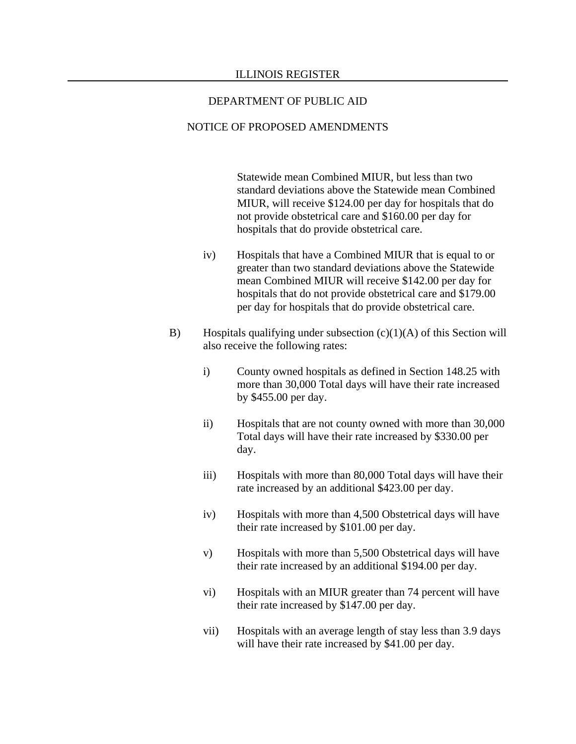#### NOTICE OF PROPOSED AMENDMENTS

Statewide mean Combined MIUR, but less than two standard deviations above the Statewide mean Combined MIUR, will receive \$124.00 per day for hospitals that do not provide obstetrical care and \$160.00 per day for hospitals that do provide obstetrical care.

- iv) Hospitals that have a Combined MIUR that is equal to or greater than two standard deviations above the Statewide mean Combined MIUR will receive \$142.00 per day for hospitals that do not provide obstetrical care and \$179.00 per day for hospitals that do provide obstetrical care.
- B) Hospitals qualifying under subsection  $(c)(1)(A)$  of this Section will also receive the following rates:
	- i) County owned hospitals as defined in Section 148.25 with more than 30,000 Total days will have their rate increased by \$455.00 per day.
	- ii) Hospitals that are not county owned with more than 30,000 Total days will have their rate increased by \$330.00 per day.
	- iii) Hospitals with more than 80,000 Total days will have their rate increased by an additional \$423.00 per day.
	- iv) Hospitals with more than 4,500 Obstetrical days will have their rate increased by \$101.00 per day.
	- v) Hospitals with more than 5,500 Obstetrical days will have their rate increased by an additional \$194.00 per day.
	- vi) Hospitals with an MIUR greater than 74 percent will have their rate increased by \$147.00 per day.
	- vii) Hospitals with an average length of stay less than 3.9 days will have their rate increased by \$41.00 per day.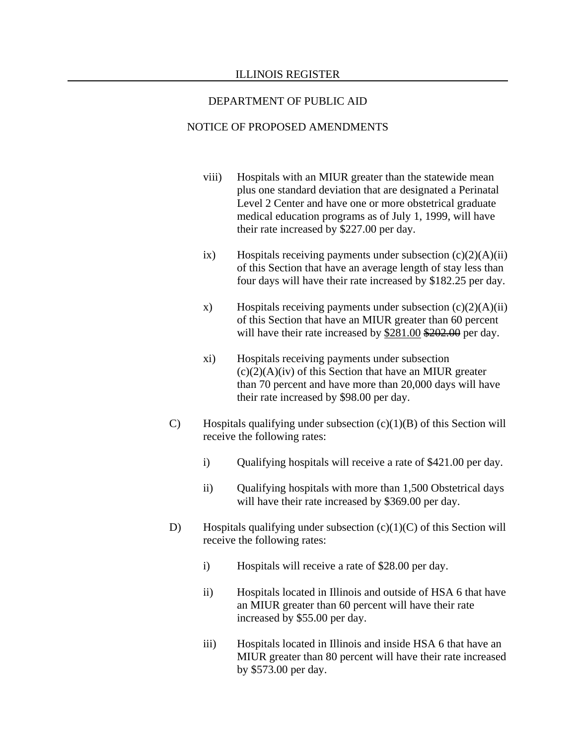- viii) Hospitals with an MIUR greater than the statewide mean plus one standard deviation that are designated a Perinatal Level 2 Center and have one or more obstetrical graduate medical education programs as of July 1, 1999, will have their rate increased by \$227.00 per day.
- ix) Hospitals receiving payments under subsection  $(c)(2)(A)(ii)$ of this Section that have an average length of stay less than four days will have their rate increased by \$182.25 per day.
- x) Hospitals receiving payments under subsection  $(c)(2)(A)(ii)$ of this Section that have an MIUR greater than 60 percent will have their rate increased by \$281.00 \$202.00 per day.
- xi) Hospitals receiving payments under subsection  $(c)(2)(A)(iv)$  of this Section that have an MIUR greater than 70 percent and have more than 20,000 days will have their rate increased by \$98.00 per day.
- C) Hospitals qualifying under subsection (c)(1)(B) of this Section will receive the following rates:
	- i) Qualifying hospitals will receive a rate of \$421.00 per day.
	- ii) Qualifying hospitals with more than 1,500 Obstetrical days will have their rate increased by \$369.00 per day.
- D) Hospitals qualifying under subsection  $(c)(1)(C)$  of this Section will receive the following rates:
	- i) Hospitals will receive a rate of \$28.00 per day.
	- ii) Hospitals located in Illinois and outside of HSA 6 that have an MIUR greater than 60 percent will have their rate increased by \$55.00 per day.
	- iii) Hospitals located in Illinois and inside HSA 6 that have an MIUR greater than 80 percent will have their rate increased by \$573.00 per day.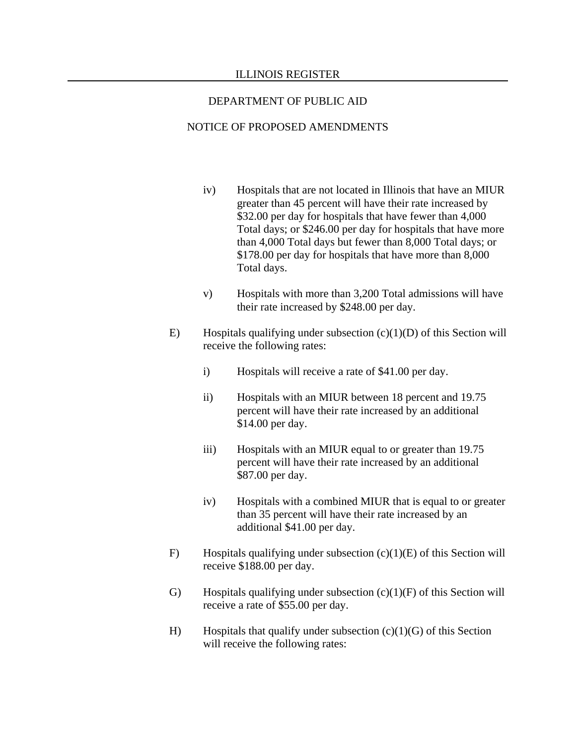- iv) Hospitals that are not located in Illinois that have an MIUR greater than 45 percent will have their rate increased by \$32.00 per day for hospitals that have fewer than 4,000 Total days; or \$246.00 per day for hospitals that have more than 4,000 Total days but fewer than 8,000 Total days; or \$178.00 per day for hospitals that have more than 8,000 Total days.
- v) Hospitals with more than 3,200 Total admissions will have their rate increased by \$248.00 per day.
- E) Hospitals qualifying under subsection  $(c)(1)(D)$  of this Section will receive the following rates:
	- i) Hospitals will receive a rate of \$41.00 per day.
	- ii) Hospitals with an MIUR between 18 percent and 19.75 percent will have their rate increased by an additional \$14.00 per day.
	- iii) Hospitals with an MIUR equal to or greater than 19.75 percent will have their rate increased by an additional \$87.00 per day.
	- iv) Hospitals with a combined MIUR that is equal to or greater than 35 percent will have their rate increased by an additional \$41.00 per day.
- F) Hospitals qualifying under subsection  $(c)(1)(E)$  of this Section will receive \$188.00 per day.
- G) Hospitals qualifying under subsection  $(c)(1)(F)$  of this Section will receive a rate of \$55.00 per day.
- H) Hospitals that qualify under subsection  $(c)(1)(G)$  of this Section will receive the following rates: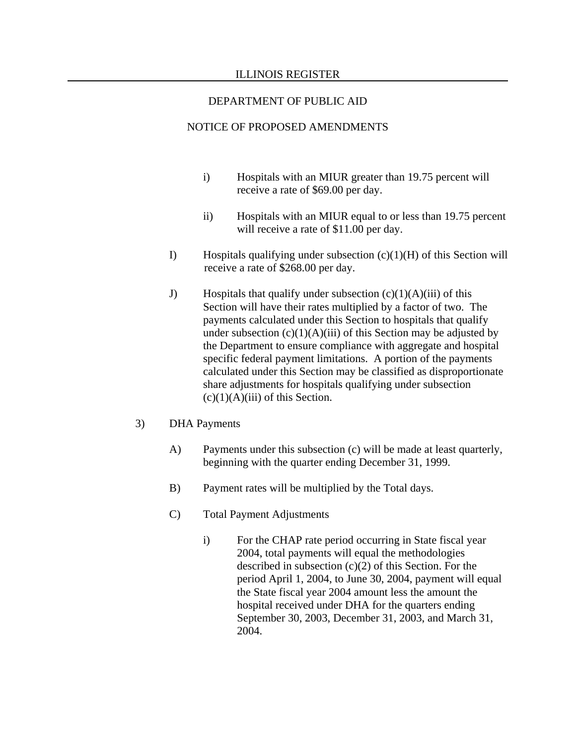- i) Hospitals with an MIUR greater than 19.75 percent will receive a rate of \$69.00 per day.
- ii) Hospitals with an MIUR equal to or less than 19.75 percent will receive a rate of \$11.00 per day.
- I) Hospitals qualifying under subsection  $(c)(1)(H)$  of this Section will receive a rate of \$268.00 per day.
- J) Hospitals that qualify under subsection  $(c)(1)(A)(iii)$  of this Section will have their rates multiplied by a factor of two. The payments calculated under this Section to hospitals that qualify under subsection  $(c)(1)(A)(iii)$  of this Section may be adjusted by the Department to ensure compliance with aggregate and hospital specific federal payment limitations. A portion of the payments calculated under this Section may be classified as disproportionate share adjustments for hospitals qualifying under subsection  $(c)(1)(A)(iii)$  of this Section.
- 3) DHA Payments
	- A) Payments under this subsection (c) will be made at least quarterly, beginning with the quarter ending December 31, 1999.
	- B) Payment rates will be multiplied by the Total days.
	- C) Total Payment Adjustments
		- i) For the CHAP rate period occurring in State fiscal year 2004, total payments will equal the methodologies described in subsection  $(c)(2)$  of this Section. For the period April 1, 2004, to June 30, 2004, payment will equal the State fiscal year 2004 amount less the amount the hospital received under DHA for the quarters ending September 30, 2003, December 31, 2003, and March 31, 2004.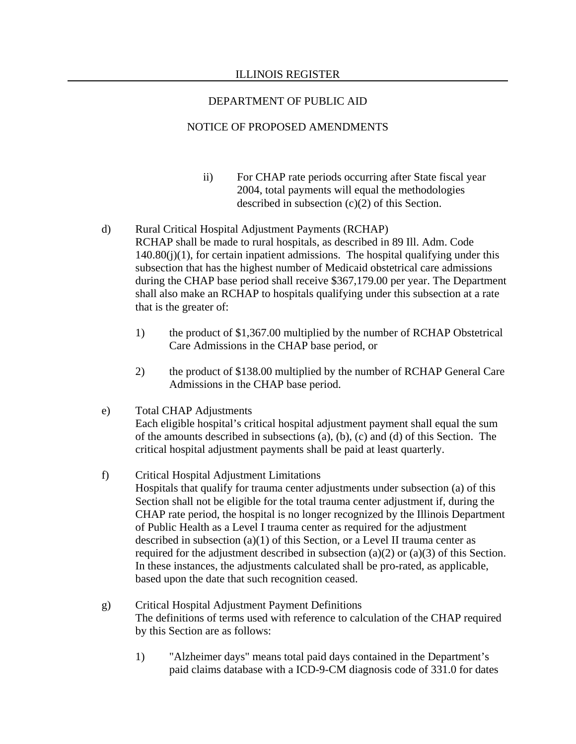- ii) For CHAP rate periods occurring after State fiscal year 2004, total payments will equal the methodologies described in subsection (c)(2) of this Section.
- d) Rural Critical Hospital Adjustment Payments (RCHAP) RCHAP shall be made to rural hospitals, as described in 89 Ill. Adm. Code  $140.80(i)(1)$ , for certain inpatient admissions. The hospital qualifying under this subsection that has the highest number of Medicaid obstetrical care admissions during the CHAP base period shall receive \$367,179.00 per year. The Department shall also make an RCHAP to hospitals qualifying under this subsection at a rate that is the greater of:
	- 1) the product of \$1,367.00 multiplied by the number of RCHAP Obstetrical Care Admissions in the CHAP base period, or
	- 2) the product of \$138.00 multiplied by the number of RCHAP General Care Admissions in the CHAP base period.
- e) Total CHAP Adjustments Each eligible hospital's critical hospital adjustment payment shall equal the sum of the amounts described in subsections (a), (b), (c) and (d) of this Section. The critical hospital adjustment payments shall be paid at least quarterly.
- f) Critical Hospital Adjustment Limitations Hospitals that qualify for trauma center adjustments under subsection (a) of this Section shall not be eligible for the total trauma center adjustment if, during the CHAP rate period, the hospital is no longer recognized by the Illinois Department of Public Health as a Level I trauma center as required for the adjustment described in subsection (a)(1) of this Section, or a Level II trauma center as required for the adjustment described in subsection (a)(2) or (a)(3) of this Section. In these instances, the adjustments calculated shall be pro-rated, as applicable, based upon the date that such recognition ceased.
- g) Critical Hospital Adjustment Payment Definitions The definitions of terms used with reference to calculation of the CHAP required by this Section are as follows:
	- 1) "Alzheimer days" means total paid days contained in the Department's paid claims database with a ICD-9-CM diagnosis code of 331.0 for dates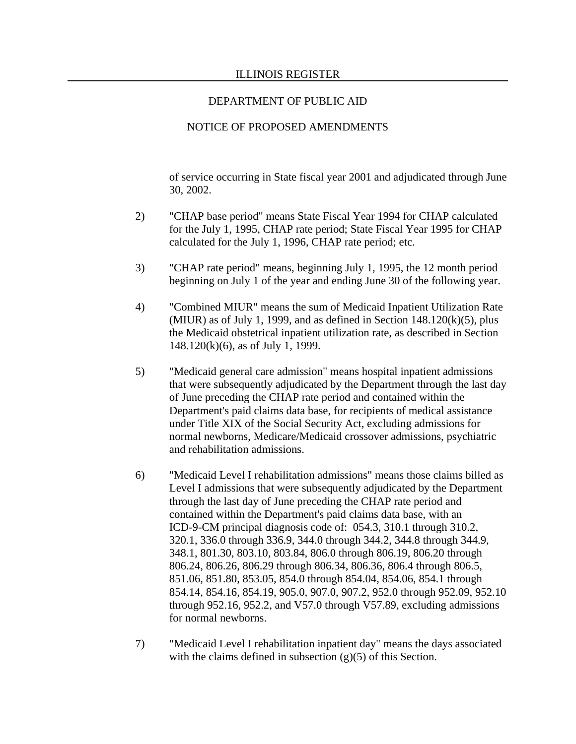#### NOTICE OF PROPOSED AMENDMENTS

of service occurring in State fiscal year 2001 and adjudicated through June 30, 2002.

- 2) "CHAP base period" means State Fiscal Year 1994 for CHAP calculated for the July 1, 1995, CHAP rate period; State Fiscal Year 1995 for CHAP calculated for the July 1, 1996, CHAP rate period; etc.
- 3) "CHAP rate period" means, beginning July 1, 1995, the 12 month period beginning on July 1 of the year and ending June 30 of the following year.
- 4) "Combined MIUR" means the sum of Medicaid Inpatient Utilization Rate (MIUR) as of July 1, 1999, and as defined in Section  $148.120(k)(5)$ , plus the Medicaid obstetrical inpatient utilization rate, as described in Section 148.120(k)(6), as of July 1, 1999.
- 5) "Medicaid general care admission" means hospital inpatient admissions that were subsequently adjudicated by the Department through the last day of June preceding the CHAP rate period and contained within the Department's paid claims data base, for recipients of medical assistance under Title XIX of the Social Security Act, excluding admissions for normal newborns, Medicare/Medicaid crossover admissions, psychiatric and rehabilitation admissions.
- 6) "Medicaid Level I rehabilitation admissions" means those claims billed as Level I admissions that were subsequently adjudicated by the Department through the last day of June preceding the CHAP rate period and contained within the Department's paid claims data base, with an ICD-9-CM principal diagnosis code of: 054.3, 310.1 through 310.2, 320.1, 336.0 through 336.9, 344.0 through 344.2, 344.8 through 344.9, 348.1, 801.30, 803.10, 803.84, 806.0 through 806.19, 806.20 through 806.24, 806.26, 806.29 through 806.34, 806.36, 806.4 through 806.5, 851.06, 851.80, 853.05, 854.0 through 854.04, 854.06, 854.1 through 854.14, 854.16, 854.19, 905.0, 907.0, 907.2, 952.0 through 952.09, 952.10 through 952.16, 952.2, and V57.0 through V57.89, excluding admissions for normal newborns.
- 7) "Medicaid Level I rehabilitation inpatient day" means the days associated with the claims defined in subsection (g)(5) of this Section.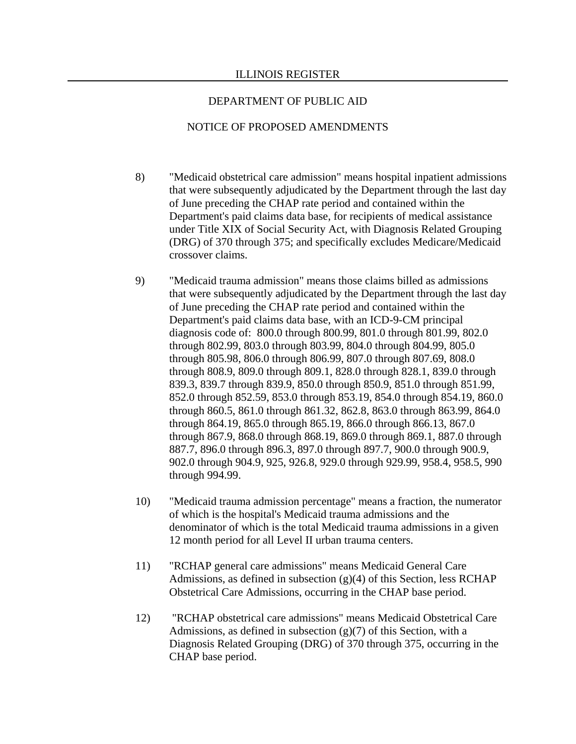- 8) "Medicaid obstetrical care admission" means hospital inpatient admissions that were subsequently adjudicated by the Department through the last day of June preceding the CHAP rate period and contained within the Department's paid claims data base, for recipients of medical assistance under Title XIX of Social Security Act, with Diagnosis Related Grouping (DRG) of 370 through 375; and specifically excludes Medicare/Medicaid crossover claims.
- 9) "Medicaid trauma admission" means those claims billed as admissions that were subsequently adjudicated by the Department through the last day of June preceding the CHAP rate period and contained within the Department's paid claims data base, with an ICD-9-CM principal diagnosis code of: 800.0 through 800.99, 801.0 through 801.99, 802.0 through 802.99, 803.0 through 803.99, 804.0 through 804.99, 805.0 through 805.98, 806.0 through 806.99, 807.0 through 807.69, 808.0 through 808.9, 809.0 through 809.1, 828.0 through 828.1, 839.0 through 839.3, 839.7 through 839.9, 850.0 through 850.9, 851.0 through 851.99, 852.0 through 852.59, 853.0 through 853.19, 854.0 through 854.19, 860.0 through 860.5, 861.0 through 861.32, 862.8, 863.0 through 863.99, 864.0 through 864.19, 865.0 through 865.19, 866.0 through 866.13, 867.0 through 867.9, 868.0 through 868.19, 869.0 through 869.1, 887.0 through 887.7, 896.0 through 896.3, 897.0 through 897.7, 900.0 through 900.9, 902.0 through 904.9, 925, 926.8, 929.0 through 929.99, 958.4, 958.5, 990 through 994.99.
- 10) "Medicaid trauma admission percentage" means a fraction, the numerator of which is the hospital's Medicaid trauma admissions and the denominator of which is the total Medicaid trauma admissions in a given 12 month period for all Level II urban trauma centers.
- 11) "RCHAP general care admissions" means Medicaid General Care Admissions, as defined in subsection  $(g)(4)$  of this Section, less RCHAP Obstetrical Care Admissions, occurring in the CHAP base period.
- 12) "RCHAP obstetrical care admissions" means Medicaid Obstetrical Care Admissions, as defined in subsection  $(g)(7)$  of this Section, with a Diagnosis Related Grouping (DRG) of 370 through 375, occurring in the CHAP base period.